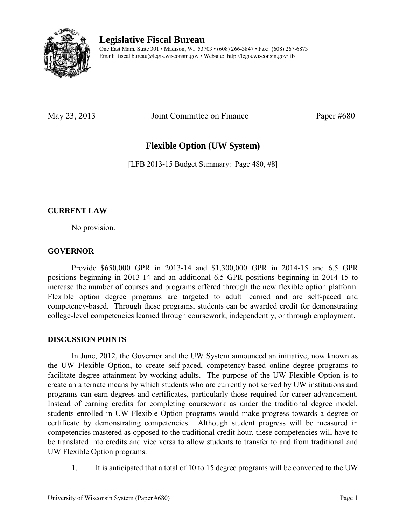

**Legislative Fiscal Bureau** 

One East Main, Suite 301 • Madison, WI 53703 • (608) 266-3847 • Fax: (608) 267-6873 Email: fiscal.bureau@legis.wisconsin.gov • Website:<http://legis.wisconsin.gov/lfb>

May 23, 2013 Joint Committee on Finance Paper #680

# **Flexible Option (UW System)**

[LFB 2013-15 Budget Summary: Page 480, #8]

### **CURRENT LAW**

No provision.

#### **GOVERNOR**

 Provide \$650,000 GPR in 2013-14 and \$1,300,000 GPR in 2014-15 and 6.5 GPR positions beginning in 2013-14 and an additional 6.5 GPR positions beginning in 2014-15 to increase the number of courses and programs offered through the new flexible option platform. Flexible option degree programs are targeted to adult learned and are self-paced and competency-based. Through these programs, students can be awarded credit for demonstrating college-level competencies learned through coursework, independently, or through employment.

#### **DISCUSSION POINTS**

 In June, 2012, the Governor and the UW System announced an initiative, now known as the UW Flexible Option, to create self-paced, competency-based online degree programs to facilitate degree attainment by working adults. The purpose of the UW Flexible Option is to create an alternate means by which students who are currently not served by UW institutions and programs can earn degrees and certificates, particularly those required for career advancement. Instead of earning credits for completing coursework as under the traditional degree model, students enrolled in UW Flexible Option programs would make progress towards a degree or certificate by demonstrating competencies. Although student progress will be measured in competencies mastered as opposed to the traditional credit hour, these competencies will have to be translated into credits and vice versa to allow students to transfer to and from traditional and UW Flexible Option programs.

1. It is anticipated that a total of 10 to 15 degree programs will be converted to the UW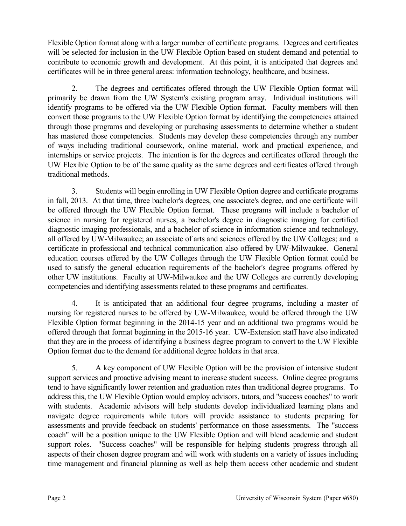Flexible Option format along with a larger number of certificate programs. Degrees and certificates will be selected for inclusion in the UW Flexible Option based on student demand and potential to contribute to economic growth and development. At this point, it is anticipated that degrees and certificates will be in three general areas: information technology, healthcare, and business.

2. The degrees and certificates offered through the UW Flexible Option format will primarily be drawn from the UW System's existing program array. Individual institutions will identify programs to be offered via the UW Flexible Option format. Faculty members will then convert those programs to the UW Flexible Option format by identifying the competencies attained through those programs and developing or purchasing assessments to determine whether a student has mastered those competencies. Students may develop these competencies through any number of ways including traditional coursework, online material, work and practical experience, and internships or service projects. The intention is for the degrees and certificates offered through the UW Flexible Option to be of the same quality as the same degrees and certificates offered through traditional methods.

3. Students will begin enrolling in UW Flexible Option degree and certificate programs in fall, 2013. At that time, three bachelor's degrees, one associate's degree, and one certificate will be offered through the UW Flexible Option format. These programs will include a bachelor of science in nursing for registered nurses, a bachelor's degree in diagnostic imaging for certified diagnostic imaging professionals, and a bachelor of science in information science and technology, all offered by UW-Milwaukee; an associate of arts and sciences offered by the UW Colleges; and a certificate in professional and technical communication also offered by UW-Milwaukee. General education courses offered by the UW Colleges through the UW Flexible Option format could be used to satisfy the general education requirements of the bachelor's degree programs offered by other UW institutions. Faculty at UW-Milwaukee and the UW Colleges are currently developing competencies and identifying assessments related to these programs and certificates.

4. It is anticipated that an additional four degree programs, including a master of nursing for registered nurses to be offered by UW-Milwaukee, would be offered through the UW Flexible Option format beginning in the 2014-15 year and an additional two programs would be offered through that format beginning in the 2015-16 year. UW-Extension staff have also indicated that they are in the process of identifying a business degree program to convert to the UW Flexible Option format due to the demand for additional degree holders in that area.

5. A key component of UW Flexible Option will be the provision of intensive student support services and proactive advising meant to increase student success. Online degree programs tend to have significantly lower retention and graduation rates than traditional degree programs. To address this, the UW Flexible Option would employ advisors, tutors, and "success coaches" to work with students. Academic advisors will help students develop individualized learning plans and navigate degree requirements while tutors will provide assistance to students preparing for assessments and provide feedback on students' performance on those assessments. The "success coach" will be a position unique to the UW Flexible Option and will blend academic and student support roles. "Success coaches" will be responsible for helping students progress through all aspects of their chosen degree program and will work with students on a variety of issues including time management and financial planning as well as help them access other academic and student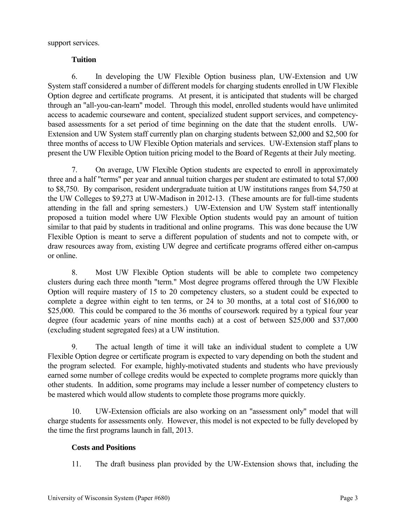support services.

### **Tuition**

6. In developing the UW Flexible Option business plan, UW-Extension and UW System staff considered a number of different models for charging students enrolled in UW Flexible Option degree and certificate programs. At present, it is anticipated that students will be charged through an "all-you-can-learn" model. Through this model, enrolled students would have unlimited access to academic courseware and content, specialized student support services, and competencybased assessments for a set period of time beginning on the date that the student enrolls. UW-Extension and UW System staff currently plan on charging students between \$2,000 and \$2,500 for three months of access to UW Flexible Option materials and services. UW-Extension staff plans to present the UW Flexible Option tuition pricing model to the Board of Regents at their July meeting.

7. On average, UW Flexible Option students are expected to enroll in approximately three and a half "terms" per year and annual tuition charges per student are estimated to total \$7,000 to \$8,750. By comparison, resident undergraduate tuition at UW institutions ranges from \$4,750 at the UW Colleges to \$9,273 at UW-Madison in 2012-13. (These amounts are for full-time students attending in the fall and spring semesters.) UW-Extension and UW System staff intentionally proposed a tuition model where UW Flexible Option students would pay an amount of tuition similar to that paid by students in traditional and online programs. This was done because the UW Flexible Option is meant to serve a different population of students and not to compete with, or draw resources away from, existing UW degree and certificate programs offered either on-campus or online.

8. Most UW Flexible Option students will be able to complete two competency clusters during each three month "term." Most degree programs offered through the UW Flexible Option will require mastery of 15 to 20 competency clusters, so a student could be expected to complete a degree within eight to ten terms, or 24 to 30 months, at a total cost of \$16,000 to \$25,000. This could be compared to the 36 months of coursework required by a typical four year degree (four academic years of nine months each) at a cost of between \$25,000 and \$37,000 (excluding student segregated fees) at a UW institution.

9. The actual length of time it will take an individual student to complete a UW Flexible Option degree or certificate program is expected to vary depending on both the student and the program selected. For example, highly-motivated students and students who have previously earned some number of college credits would be expected to complete programs more quickly than other students. In addition, some programs may include a lesser number of competency clusters to be mastered which would allow students to complete those programs more quickly.

10. UW-Extension officials are also working on an "assessment only" model that will charge students for assessments only. However, this model is not expected to be fully developed by the time the first programs launch in fall, 2013.

### **Costs and Positions**

11. The draft business plan provided by the UW-Extension shows that, including the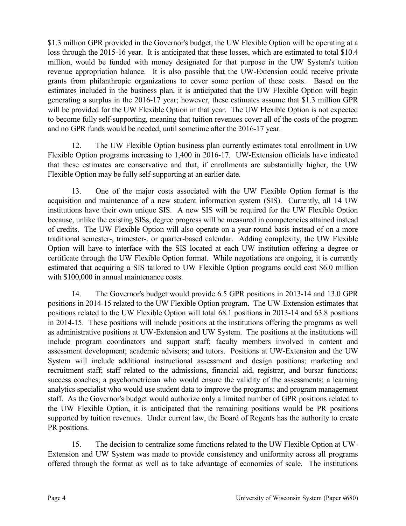\$1.3 million GPR provided in the Governor's budget, the UW Flexible Option will be operating at a loss through the 2015-16 year. It is anticipated that these losses, which are estimated to total \$10.4 million, would be funded with money designated for that purpose in the UW System's tuition revenue appropriation balance. It is also possible that the UW-Extension could receive private grants from philanthropic organizations to cover some portion of these costs. Based on the estimates included in the business plan, it is anticipated that the UW Flexible Option will begin generating a surplus in the 2016-17 year; however, these estimates assume that \$1.3 million GPR will be provided for the UW Flexible Option in that year. The UW Flexible Option is not expected to become fully self-supporting, meaning that tuition revenues cover all of the costs of the program and no GPR funds would be needed, until sometime after the 2016-17 year.

12. The UW Flexible Option business plan currently estimates total enrollment in UW Flexible Option programs increasing to 1,400 in 2016-17. UW-Extension officials have indicated that these estimates are conservative and that, if enrollments are substantially higher, the UW Flexible Option may be fully self-supporting at an earlier date.

13. One of the major costs associated with the UW Flexible Option format is the acquisition and maintenance of a new student information system (SIS). Currently, all 14 UW institutions have their own unique SIS. A new SIS will be required for the UW Flexible Option because, unlike the existing SISs, degree progress will be measured in competencies attained instead of credits. The UW Flexible Option will also operate on a year-round basis instead of on a more traditional semester-, trimester-, or quarter-based calendar. Adding complexity, the UW Flexible Option will have to interface with the SIS located at each UW institution offering a degree or certificate through the UW Flexible Option format. While negotiations are ongoing, it is currently estimated that acquiring a SIS tailored to UW Flexible Option programs could cost \$6.0 million with  $$100,000$  in annual maintenance costs.

14. The Governor's budget would provide 6.5 GPR positions in 2013-14 and 13.0 GPR positions in 2014-15 related to the UW Flexible Option program. The UW-Extension estimates that positions related to the UW Flexible Option will total 68.1 positions in 2013-14 and 63.8 positions in 2014-15. These positions will include positions at the institutions offering the programs as well as administrative positions at UW-Extension and UW System. The positions at the institutions will include program coordinators and support staff; faculty members involved in content and assessment development; academic advisors; and tutors. Positions at UW-Extension and the UW System will include additional instructional assessment and design positions; marketing and recruitment staff; staff related to the admissions, financial aid, registrar, and bursar functions; success coaches; a psychometrician who would ensure the validity of the assessments; a learning analytics specialist who would use student data to improve the programs; and program management staff. As the Governor's budget would authorize only a limited number of GPR positions related to the UW Flexible Option, it is anticipated that the remaining positions would be PR positions supported by tuition revenues. Under current law, the Board of Regents has the authority to create PR positions.

15. The decision to centralize some functions related to the UW Flexible Option at UW-Extension and UW System was made to provide consistency and uniformity across all programs offered through the format as well as to take advantage of economies of scale. The institutions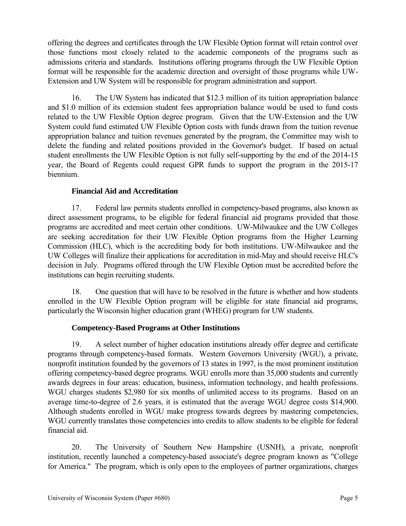offering the degrees and certificates through the UW Flexible Option format will retain control over those functions most closely related to the academic components of the programs such as admissions criteria and standards. Institutions offering programs through the UW Flexible Option format will be responsible for the academic direction and oversight of those programs while UW-Extension and UW System will be responsible for program administration and support.

16. The UW System has indicated that \$12.3 million of its tuition appropriation balance and \$1.0 million of its extension student fees appropriation balance would be used to fund costs related to the UW Flexible Option degree program. Given that the UW-Extension and the UW System could fund estimated UW Flexible Option costs with funds drawn from the tuition revenue appropriation balance and tuition revenues generated by the program, the Committee may wish to delete the funding and related positions provided in the Governor's budget. If based on actual student enrollments the UW Flexible Option is not fully self-supporting by the end of the 2014-15 year, the Board of Regents could request GPR funds to support the program in the 2015-17 biennium.

## **Financial Aid and Accreditation**

17. Federal law permits students enrolled in competency-based programs, also known as direct assessment programs, to be eligible for federal financial aid programs provided that those programs are accredited and meet certain other conditions. UW-Milwaukee and the UW Colleges are seeking accreditation for their UW Flexible Option programs from the Higher Learning Commission (HLC), which is the accrediting body for both institutions. UW-Milwaukee and the UW Colleges will finalize their applications for accreditation in mid-May and should receive HLC's decision in July. Programs offered through the UW Flexible Option must be accredited before the institutions can begin recruiting students.

18. One question that will have to be resolved in the future is whether and how students enrolled in the UW Flexible Option program will be eligible for state financial aid programs, particularly the Wisconsin higher education grant (WHEG) program for UW students.

## **Competency-Based Programs at Other Institutions**

19. A select number of higher education institutions already offer degree and certificate programs through competency-based formats. Western Governors University (WGU), a private, nonprofit institution founded by the governors of 13 states in 1997, is the most prominent institution offering competency-based degree programs. WGU enrolls more than 35,000 students and currently awards degrees in four areas: education, business, information technology, and health professions. WGU charges students \$2,980 for six months of unlimited access to its programs. Based on an average time-to-degree of 2.6 years, it is estimated that the average WGU degree costs \$14,900. Although students enrolled in WGU make progress towards degrees by mastering competencies, WGU currently translates those competencies into credits to allow students to be eligible for federal financial aid.

20. The University of Southern New Hampshire (USNH), a private, nonprofit institution, recently launched a competency-based associate's degree program known as "College for America." The program, which is only open to the employees of partner organizations, charges